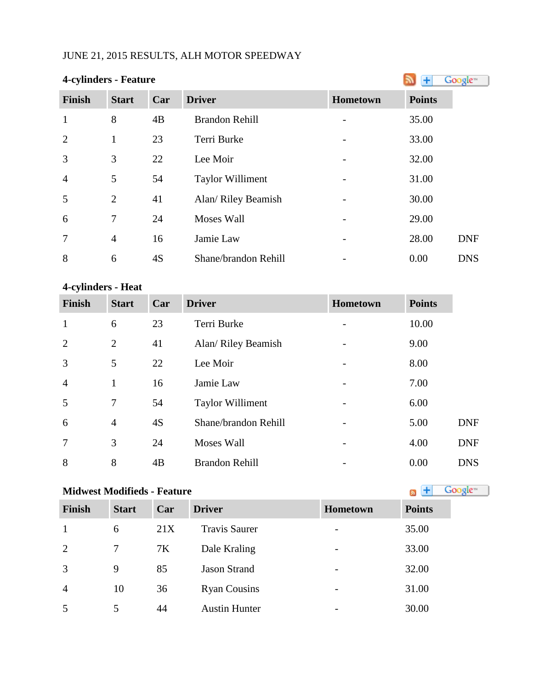# JUNE 21, 2015 RESULTS, ALH MOTOR SPEEDWAY

| 4-cylinders - Feature |                | Google <sup>®</sup> |                         |          |               |            |
|-----------------------|----------------|---------------------|-------------------------|----------|---------------|------------|
| Finish                | <b>Start</b>   | Car                 | <b>Driver</b>           | Hometown | <b>Points</b> |            |
| $\mathbf{1}$          | 8              | 4B                  | <b>Brandon Rehill</b>   |          | 35.00         |            |
| $\overline{2}$        | $\mathbf{1}$   | 23                  | Terri Burke             |          | 33.00         |            |
| 3                     | 3              | 22                  | Lee Moir                |          | 32.00         |            |
| $\overline{4}$        | 5              | 54                  | <b>Taylor Williment</b> |          | 31.00         |            |
| 5                     | $\overline{2}$ | 41                  | Alan/ Riley Beamish     |          | 30.00         |            |
| 6                     | 7              | 24                  | <b>Moses Wall</b>       |          | 29.00         |            |
| $\overline{7}$        | $\overline{4}$ | 16                  | Jamie Law               |          | 28.00         | <b>DNF</b> |
| 8                     | 6              | 4S                  | Shane/brandon Rehill    |          | 0.00          | <b>DNS</b> |

## **4-cylinders - Heat**

| <b>Finish</b>  | <b>Start</b>   | Car | <b>Driver</b>           | <b>Hometown</b> | <b>Points</b> |            |
|----------------|----------------|-----|-------------------------|-----------------|---------------|------------|
| $\mathbf{1}$   | 6              | 23  | Terri Burke             |                 | 10.00         |            |
| 2              | $\overline{2}$ | 41  | Alan/ Riley Beamish     |                 | 9.00          |            |
| 3              | 5              | 22  | Lee Moir                |                 | 8.00          |            |
| $\overline{4}$ | 1              | 16  | Jamie Law               |                 | 7.00          |            |
| 5              | 7              | 54  | <b>Taylor Williment</b> |                 | 6.00          |            |
| 6              | $\overline{4}$ | 4S  | Shane/brandon Rehill    |                 | 5.00          | <b>DNF</b> |
| $\overline{7}$ | 3              | 24  | Moses Wall              |                 | 4.00          | <b>DNF</b> |
| 8              | 8              | 4B  | <b>Brandon Rehill</b>   |                 | 0.00          | <b>DNS</b> |

# **MidwestModifieds - Feature All and Society Constant Constant Constant Constant Constant Constant Constant Constant Constant Constant Constant Constant Constant Constant Constant Constant Constant Constant Constant Cons**

| Finish         | <b>Start</b> | Car | <b>Driver</b>        | <b>Hometown</b>          | <b>Points</b> |
|----------------|--------------|-----|----------------------|--------------------------|---------------|
| $\mathbf{1}$   | 6            | 21X | <b>Travis Saurer</b> | $\overline{\phantom{0}}$ | 35.00         |
| 2              | 7            | 7K  | Dale Kraling         | $\overline{\phantom{a}}$ | 33.00         |
| 3              | 9            | 85  | <b>Jason Strand</b>  | $\overline{\phantom{a}}$ | 32.00         |
| $\overline{4}$ | 10           | 36  | <b>Ryan Cousins</b>  | $\overline{\phantom{a}}$ | 31.00         |
| 5              | 5            | 44  | <b>Austin Hunter</b> |                          | 30.00         |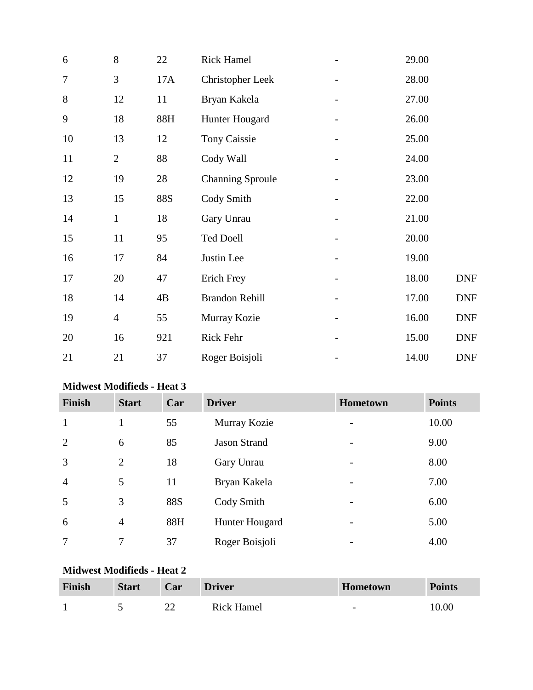| 6      | 8              | 22         | <b>Rick Hamel</b>       |                              | 29.00 |            |
|--------|----------------|------------|-------------------------|------------------------------|-------|------------|
| $\tau$ | 3              | 17A        | <b>Christopher Leek</b> | $\overline{\phantom{0}}$     | 28.00 |            |
| 8      | 12             | 11         | Bryan Kakela            |                              | 27.00 |            |
| 9      | 18             | 88H        | Hunter Hougard          |                              | 26.00 |            |
| 10     | 13             | 12         | <b>Tony Caissie</b>     |                              | 25.00 |            |
| 11     | $\overline{2}$ | 88         | Cody Wall               |                              | 24.00 |            |
| 12     | 19             | 28         | <b>Channing Sproule</b> | $\qquad \qquad \blacksquare$ | 23.00 |            |
| 13     | 15             | <b>88S</b> | Cody Smith              |                              | 22.00 |            |
| 14     | $\mathbf{1}$   | 18         | Gary Unrau              |                              | 21.00 |            |
| 15     | 11             | 95         | <b>Ted Doell</b>        |                              | 20.00 |            |
| 16     | 17             | 84         | Justin Lee              |                              | 19.00 |            |
| 17     | 20             | 47         | Erich Frey              |                              | 18.00 | <b>DNF</b> |
| 18     | 14             | 4B         | <b>Brandon Rehill</b>   |                              | 17.00 | <b>DNF</b> |
| 19     | $\overline{4}$ | 55         | Murray Kozie            |                              | 16.00 | <b>DNF</b> |
| 20     | 16             | 921        | Rick Fehr               |                              | 15.00 | <b>DNF</b> |
| 21     | 21             | 37         | Roger Boisjoli          |                              | 14.00 | <b>DNF</b> |

# **Midwest Modifieds - Heat 3**

| <b>Finish</b>  | <b>Start</b>   | Car        | <b>Driver</b>       | Hometown | <b>Points</b> |
|----------------|----------------|------------|---------------------|----------|---------------|
| $\mathbf{1}$   | 1              | 55         | Murray Kozie        |          | 10.00         |
| 2              | 6              | 85         | <b>Jason Strand</b> |          | 9.00          |
| 3              | $\overline{2}$ | 18         | Gary Unrau          |          | 8.00          |
| $\overline{4}$ | 5              | 11         | Bryan Kakela        |          | 7.00          |
| 5              | 3              | <b>88S</b> | Cody Smith          |          | 6.00          |
| 6              | $\overline{4}$ | 88H        | Hunter Hougard      |          | 5.00          |
| $\overline{7}$ | 7              | 37         | Roger Boisjoli      |          | 4.00          |

# **Midwest Modifieds - Heat 2**

| <b>Finish</b> | <b>Start</b> | Car | <b>Driver</b>     | <b>Hometown</b>          | <b>Points</b> |
|---------------|--------------|-----|-------------------|--------------------------|---------------|
|               |              |     | <b>Rick Hamel</b> | $\overline{\phantom{0}}$ | 10.00         |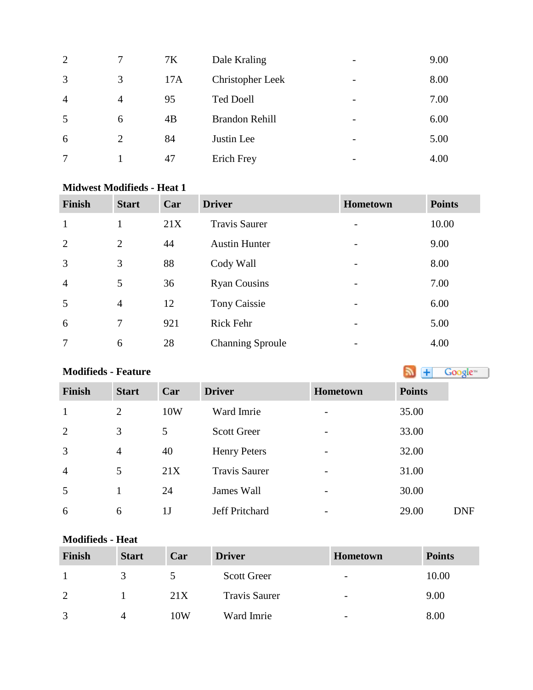| 2              |   | 7K  | Dale Kraling          | $\overline{\phantom{0}}$ | 9.00 |
|----------------|---|-----|-----------------------|--------------------------|------|
| 3              | 3 | 17A | Christopher Leek      | $\overline{\phantom{a}}$ | 8.00 |
| $\overline{4}$ | 4 | 95  | <b>Ted Doell</b>      |                          | 7.00 |
| 5              | 6 | 4B  | <b>Brandon Rehill</b> | $\overline{\phantom{0}}$ | 6.00 |
| 6              | 2 | 84  | Justin Lee            | $\overline{\phantom{0}}$ | 5.00 |
| 7              |   | 47  | Erich Frey            | $\overline{\phantom{0}}$ | 4.00 |

### **Midwest Modifieds - Heat 1**

| <b>Finish</b>  | <b>Start</b>   | Car | <b>Driver</b>           | <b>Hometown</b>          | <b>Points</b> |
|----------------|----------------|-----|-------------------------|--------------------------|---------------|
| $\mathbf{1}$   |                | 21X | <b>Travis Saurer</b>    | $\overline{\phantom{a}}$ | 10.00         |
| 2              | 2              | 44  | <b>Austin Hunter</b>    | $\overline{\phantom{a}}$ | 9.00          |
| $\overline{3}$ | 3              | 88  | Cody Wall               | $\overline{\phantom{a}}$ | 8.00          |
| $\overline{4}$ | 5              | 36  | <b>Ryan Cousins</b>     | $\overline{\phantom{a}}$ | 7.00          |
| 5              | $\overline{4}$ | 12  | <b>Tony Caissie</b>     | $\overline{\phantom{a}}$ | 6.00          |
| 6              | 7              | 921 | <b>Rick Fehr</b>        | $\overline{\phantom{a}}$ | 5.00          |
| 7              | 6              | 28  | <b>Channing Sproule</b> | $\overline{\phantom{a}}$ | 4.00          |

**Modifieds - Feature** Google<sup>16</sup> **Finish Start Car Driver Hometown Points** 1 2 10W Ward Imrie - 35.00 2 3 5 Scott Greer - 33.00 4 40 Henry Peters - 32.00 5 21X Travis Saurer - 31.00 5 1 24 James Wall - 30.00 6 1J Jeff Pritchard - 29.00 DNF

## **Modifieds - Heat**

| Finish       | <b>Start</b> | Car | <b>Driver</b>        | <b>Hometown</b>          | <b>Points</b> |
|--------------|--------------|-----|----------------------|--------------------------|---------------|
|              |              |     | <b>Scott Greer</b>   | $\overline{\phantom{a}}$ | 10.00         |
| $\gamma$     |              | 21X | <b>Travis Saurer</b> | $\overline{\phantom{a}}$ | 9.00          |
| $\mathbf{z}$ |              | 10W | Ward Imrie           | $\overline{\phantom{0}}$ | 8.00          |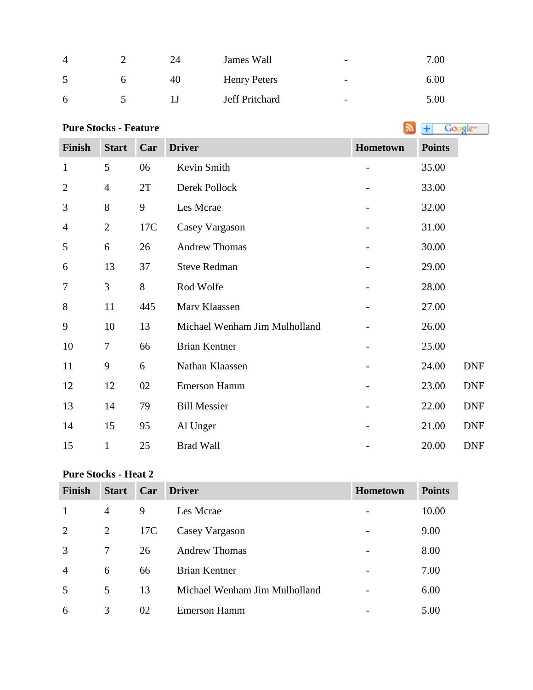| 4        | 24 | James Wall          | $\overline{\phantom{0}}$ | 7.00 |
|----------|----|---------------------|--------------------------|------|
|          | 40 | <b>Henry Peters</b> | -                        | 6.00 |
| $\sigma$ |    | Jeff Pritchard      | $\overline{\phantom{0}}$ | 5.00 |

### **Pure Stocks - Feature**

Google™ **Finish Start Car Driver Hometown Points** 1 5 06 Kevin Smith - 35.00 4 2T Derek Pollock - 33.00 8 9 Les Mcrae - 32.00 2 17C Casey Vargason - 31.00 6 26 Andrew Thomas - 30.00 13 37 Steve Redman - 29.00 3 8 Rod Wolfe - 28.00 8 11 445 Mary Klaassen - 27.00 10 13 Michael Wenham Jim Mulholland - 26.00 7 66 Brian Kentner - 25.00 9 6 Nathan Klaassen - 24.00 DNF 12 12 02 Emerson Hamm - 23.00 DNF 14 79 Bill Messier - 22.00 DNF 14 15 95 Al Unger - 21.00 DNF 15 1 25 Brad Wall - 20.00 DNF

### **Pure Stocks - Heat 2**

| Finish         | <b>Start</b> | Car | <b>Driver</b>                 | <b>Hometown</b> | <b>Points</b> |
|----------------|--------------|-----|-------------------------------|-----------------|---------------|
| $\mathbf{1}$   | 4            | 9   | Les Mcrae                     |                 | 10.00         |
| $\overline{2}$ | 2            | 17C | Casey Vargason                |                 | 9.00          |
| 3              | 7            | 26  | <b>Andrew Thomas</b>          |                 | 8.00          |
| $\overline{4}$ | 6            | 66  | <b>Brian Kentner</b>          |                 | 7.00          |
| .5             | 5            | 13  | Michael Wenham Jim Mulholland |                 | 6.00          |
| 6              | 3            | 02  | <b>Emerson Hamm</b>           |                 | 5.00          |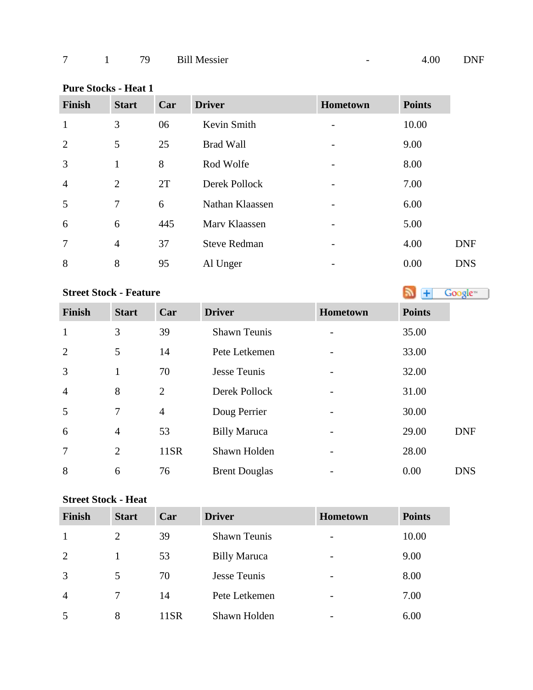## **Pure Stocks - Heat 1**

| <b>Finish</b>  | <b>Start</b>   | Car | <b>Driver</b>       | <b>Hometown</b>          | <b>Points</b> |            |
|----------------|----------------|-----|---------------------|--------------------------|---------------|------------|
| $\mathbf{1}$   | 3              | 06  | Kevin Smith         |                          | 10.00         |            |
| 2              | 5              | 25  | <b>Brad Wall</b>    | $\qquad \qquad$          | 9.00          |            |
| 3              | 1              | 8   | Rod Wolfe           | $\qquad \qquad$          | 8.00          |            |
| $\overline{4}$ | 2              | 2T  | Derek Pollock       |                          | 7.00          |            |
| 5              | 7              | 6   | Nathan Klaassen     | $\overline{\phantom{a}}$ | 6.00          |            |
| 6              | 6              | 445 | Marv Klaassen       | $\qquad \qquad$          | 5.00          |            |
| $\overline{7}$ | $\overline{4}$ | 37  | <b>Steve Redman</b> | -                        | 4.00          | <b>DNF</b> |
| 8              | 8              | 95  | Al Unger            |                          | 0.00          | <b>DNS</b> |

# **StreetStock - Feature Street Stock - Feature**

| <b>Finish</b>  | <b>Start</b>   | Car            | <b>Driver</b>        | Hometown | <b>Points</b> |            |
|----------------|----------------|----------------|----------------------|----------|---------------|------------|
| $\mathbf{1}$   | 3              | 39             | <b>Shawn Teunis</b>  |          | 35.00         |            |
| $\overline{2}$ | 5              | 14             | Pete Letkemen        |          | 33.00         |            |
| $\overline{3}$ | $\mathbf{1}$   | 70             | <b>Jesse Teunis</b>  |          | 32.00         |            |
| $\overline{4}$ | 8              | 2              | Derek Pollock        |          | 31.00         |            |
| 5              | $\overline{7}$ | $\overline{4}$ | Doug Perrier         |          | 30.00         |            |
| 6              | $\overline{4}$ | 53             | <b>Billy Maruca</b>  |          | 29.00         | <b>DNF</b> |
| $\overline{7}$ | 2              | 11SR           | Shawn Holden         |          | 28.00         |            |
| 8              | 6              | 76             | <b>Brent Douglas</b> |          | 0.00          | <b>DNS</b> |

### **Street Stock - Heat**

| <b>Finish</b>  | <b>Start</b> | Car  | <b>Driver</b>       | Hometown | <b>Points</b> |
|----------------|--------------|------|---------------------|----------|---------------|
|                | 2            | 39   | <b>Shawn Teunis</b> |          | 10.00         |
| 2              |              | 53   | <b>Billy Maruca</b> |          | 9.00          |
| 3              | 5            | 70   | Jesse Teunis        |          | 8.00          |
| $\overline{4}$ |              | 14   | Pete Letkemen       |          | 7.00          |
| 5              | 8            | 11SR | Shawn Holden        |          | 6.00          |